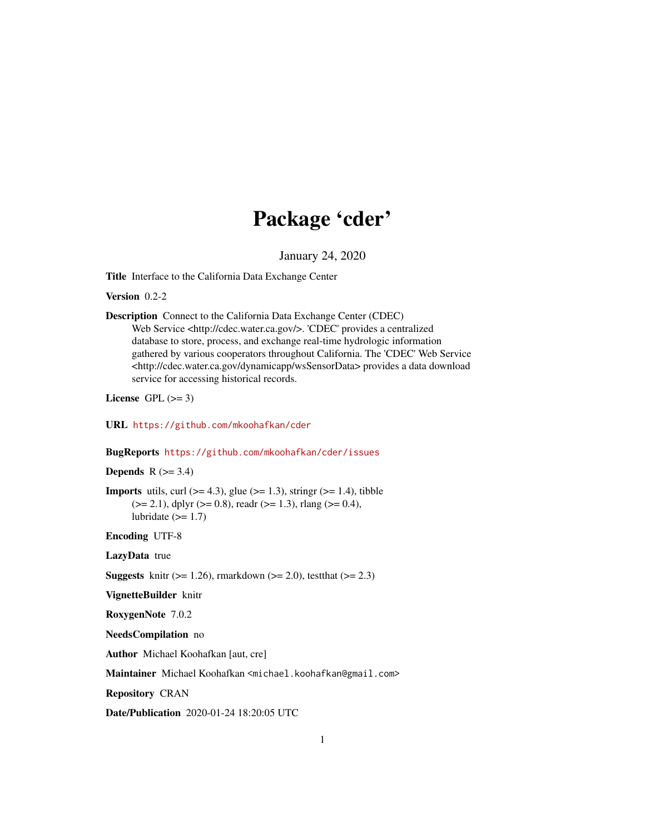## Package 'cder'

January 24, 2020

<span id="page-0-0"></span>Title Interface to the California Data Exchange Center

Version 0.2-2

Description Connect to the California Data Exchange Center (CDEC) Web Service <http://cdec.water.ca.gov/>. 'CDEC' provides a centralized database to store, process, and exchange real-time hydrologic information gathered by various cooperators throughout California. The 'CDEC' Web Service <http://cdec.water.ca.gov/dynamicapp/wsSensorData> provides a data download service for accessing historical records.

License GPL  $(>= 3)$ 

URL <https://github.com/mkoohafkan/cder>

BugReports <https://github.com/mkoohafkan/cder/issues>

Depends  $R$  ( $>= 3.4$ )

**Imports** utils, curl  $(>= 4.3)$ , glue  $(>= 1.3)$ , stringr  $(>= 1.4)$ , tibble  $(>= 2.1)$ , dplyr  $(>= 0.8)$ , readr  $(>= 1.3)$ , rlang  $(>= 0.4)$ , lubridate  $(>= 1.7)$ 

Encoding UTF-8

LazyData true

**Suggests** knitr ( $>= 1.26$ ), rmarkdown ( $>= 2.0$ ), test that ( $>= 2.3$ )

VignetteBuilder knitr

RoxygenNote 7.0.2

NeedsCompilation no

Author Michael Koohafkan [aut, cre]

Maintainer Michael Koohafkan <michael.koohafkan@gmail.com>

Repository CRAN

Date/Publication 2020-01-24 18:20:05 UTC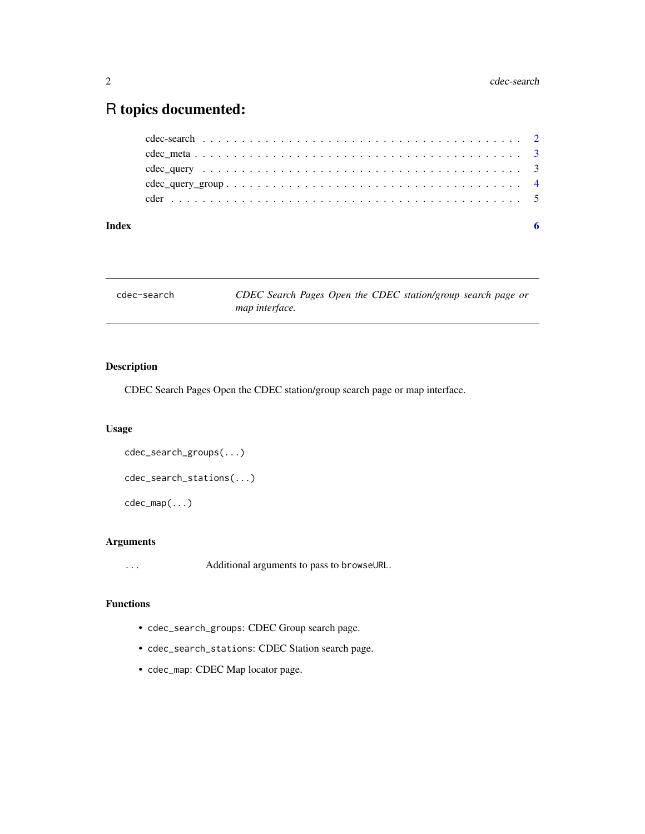### <span id="page-1-0"></span>R topics documented:

| Index |  |
|-------|--|
|       |  |
|       |  |
|       |  |
|       |  |
|       |  |

cdec-search *CDEC Search Pages Open the CDEC station/group search page or map interface.*

#### Description

CDEC Search Pages Open the CDEC station/group search page or map interface.

#### Usage

```
cdec_search_groups(...)
cdec_search_stations(...)
cdec_map(...)
```
#### Arguments

... Additional arguments to pass to browseURL.

#### Functions

- cdec\_search\_groups: CDEC Group search page.
- cdec\_search\_stations: CDEC Station search page.
- cdec\_map: CDEC Map locator page.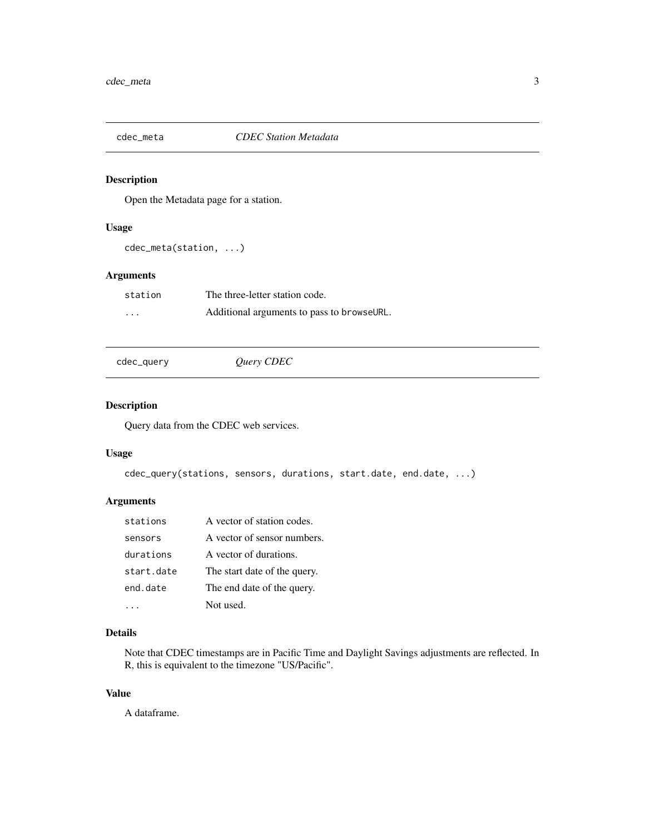<span id="page-2-0"></span>

#### Description

Open the Metadata page for a station.

#### Usage

cdec\_meta(station, ...)

#### Arguments

| station                 | The three-letter station code.             |
|-------------------------|--------------------------------------------|
| $\cdot$ $\cdot$ $\cdot$ | Additional arguments to pass to browseURL. |

cdec\_query *Query CDEC*

#### Description

Query data from the CDEC web services.

#### Usage

```
cdec_query(stations, sensors, durations, start.date, end.date, ...)
```
#### Arguments

| stations   | A vector of station codes.   |
|------------|------------------------------|
| sensors    | A vector of sensor numbers.  |
| durations  | A vector of durations.       |
| start.date | The start date of the query. |
| end.date   | The end date of the query.   |
|            | Not used.                    |

#### Details

Note that CDEC timestamps are in Pacific Time and Daylight Savings adjustments are reflected. In R, this is equivalent to the timezone "US/Pacific".

#### Value

A dataframe.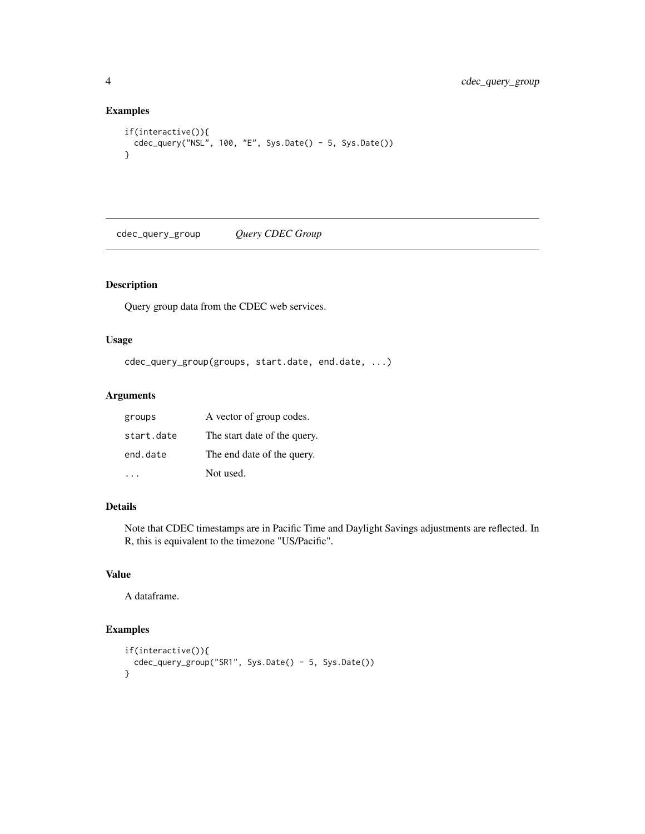#### Examples

```
if(interactive()){
  cdec_query("NSL", 100, "E", Sys.Date() - 5, Sys.Date())
}
```
cdec\_query\_group *Query CDEC Group*

#### Description

Query group data from the CDEC web services.

#### Usage

```
cdec_query_group(groups, start.date, end.date, ...)
```
#### Arguments

| groups     | A vector of group codes.     |
|------------|------------------------------|
| start.date | The start date of the query. |
| end.date   | The end date of the query.   |
|            | Not used.                    |

#### Details

Note that CDEC timestamps are in Pacific Time and Daylight Savings adjustments are reflected. In R, this is equivalent to the timezone "US/Pacific".

#### Value

A dataframe.

#### Examples

```
if(interactive()){
  cdec_query_group("SR1", Sys.Date() - 5, Sys.Date())
}
```
<span id="page-3-0"></span>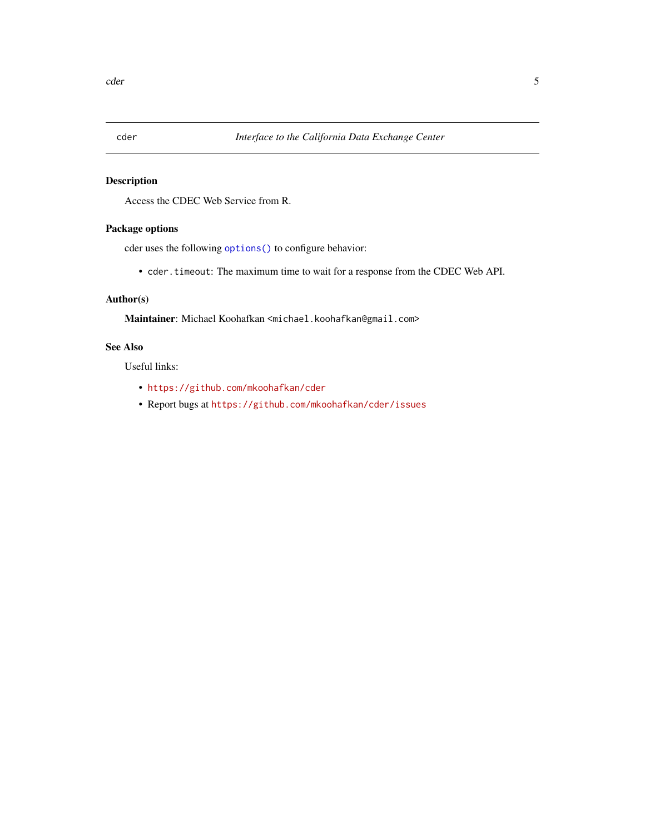<span id="page-4-0"></span>

#### Description

Access the CDEC Web Service from R.

#### Package options

cder uses the following [options\(\)](#page-0-0) to configure behavior:

• cder.timeout: The maximum time to wait for a response from the CDEC Web API.

#### Author(s)

Maintainer: Michael Koohafkan <michael.koohafkan@gmail.com>

#### See Also

Useful links:

- <https://github.com/mkoohafkan/cder>
- Report bugs at <https://github.com/mkoohafkan/cder/issues>